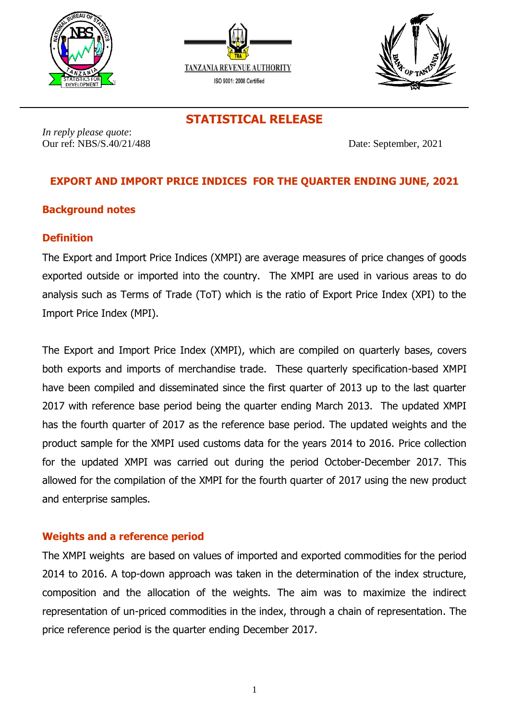





**STATISTICAL RELEASE**

*In reply please quote*: Our ref: NBS/S.40/21/488 Date: September, 2021

# **EXPORT AND IMPORT PRICE INDICES FOR THE QUARTER ENDING JUNE, 2021**

# **Background notes**

# **Definition**

The Export and Import Price Indices (XMPI) are average measures of price changes of goods exported outside or imported into the country. The XMPI are used in various areas to do analysis such as Terms of Trade (ToT) which is the ratio of Export Price Index (XPI) to the Import Price Index (MPI).

The Export and Import Price Index (XMPI), which are compiled on quarterly bases, covers both exports and imports of merchandise trade. These quarterly specification-based XMPI have been compiled and disseminated since the first quarter of 2013 up to the last quarter 2017 with reference base period being the quarter ending March 2013. The updated XMPI has the fourth quarter of 2017 as the reference base period. The updated weights and the product sample for the XMPI used customs data for the years 2014 to 2016. Price collection for the updated XMPI was carried out during the period October-December 2017. This allowed for the compilation of the XMPI for the fourth quarter of 2017 using the new product and enterprise samples.

# **Weights and a reference period**

The XMPI weights are based on values of imported and exported commodities for the period 2014 to 2016. A top-down approach was taken in the determination of the index structure, composition and the allocation of the weights. The aim was to maximize the indirect representation of un-priced commodities in the index, through a chain of representation. The price reference period is the quarter ending December 2017.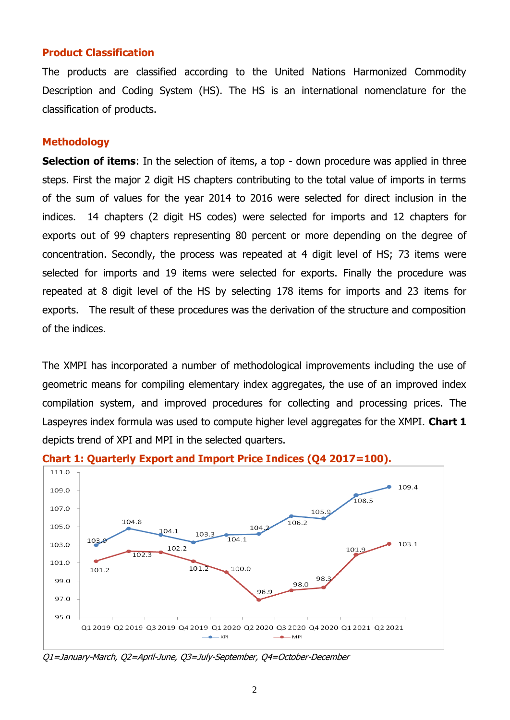### **Product Classification**

The products are classified according to the United Nations Harmonized Commodity Description and Coding System (HS). The HS is an international nomenclature for the classification of products.

#### **Methodology**

**Selection of items**: In the selection of items, a top - down procedure was applied in three steps. First the major 2 digit HS chapters contributing to the total value of imports in terms of the sum of values for the year 2014 to 2016 were selected for direct inclusion in the indices. 14 chapters (2 digit HS codes) were selected for imports and 12 chapters for exports out of 99 chapters representing 80 percent or more depending on the degree of concentration. Secondly, the process was repeated at 4 digit level of HS; 73 items were selected for imports and 19 items were selected for exports. Finally the procedure was repeated at 8 digit level of the HS by selecting 178 items for imports and 23 items for exports. The result of these procedures was the derivation of the structure and composition of the indices.

The XMPI has incorporated a number of methodological improvements including the use of geometric means for compiling elementary index aggregates, the use of an improved index compilation system, and improved procedures for collecting and processing prices. The Laspeyres index formula was used to compute higher level aggregates for the XMPI. **Chart 1** depicts trend of XPI and MPI in the selected quarters.



**Chart 1: Quarterly Export and Import Price Indices (Q4 2017=100).**

Q1=January-March, Q2=April-June, Q3=July-September, Q4=October-December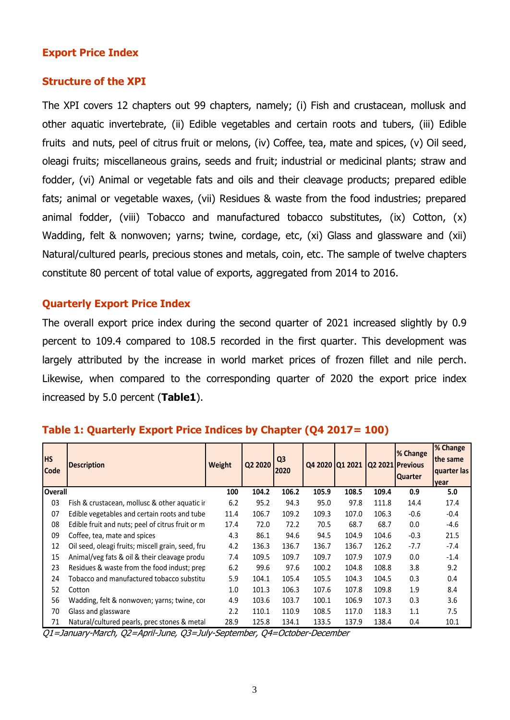# **Export Price Index**

### **Structure of the XPI**

The XPI covers 12 chapters out 99 chapters, namely; (i) Fish and crustacean, mollusk and other aquatic invertebrate, (ii) Edible vegetables and certain roots and tubers, (iii) Edible fruits and nuts, peel of citrus fruit or melons, (iv) Coffee, tea, mate and spices, (v) Oil seed, oleagi fruits; miscellaneous grains, seeds and fruit; industrial or medicinal plants; straw and fodder, (vi) Animal or vegetable fats and oils and their cleavage products; prepared edible fats; animal or vegetable waxes, (vii) Residues & waste from the food industries; prepared animal fodder, (viii) Tobacco and manufactured tobacco substitutes, (ix) Cotton, (x) Wadding, felt & nonwoven; yarns; twine, cordage, etc, (xi) Glass and glassware and (xii) Natural/cultured pearls, precious stones and metals, coin, etc. The sample of twelve chapters constitute 80 percent of total value of exports, aggregated from 2014 to 2016.

# **Quarterly Export Price Index**

The overall export price index during the second quarter of 2021 increased slightly by 0.9 percent to 109.4 compared to 108.5 recorded in the first quarter. This development was largely attributed by the increase in world market prices of frozen fillet and nile perch. Likewise, when compared to the corresponding quarter of 2020 the export price index increased by 5.0 percent (**Table1**).

| <b>HS</b><br><b>Code</b> | <b>Description</b>                                | Weight | Q2 2020 | Q <sub>3</sub><br>2020 |       | Q4 2020 Q1 2021 |       | % Change<br>Q2 2021 Previous<br><b>Quarter</b> | % Change<br>the same<br>quarter las<br>year |
|--------------------------|---------------------------------------------------|--------|---------|------------------------|-------|-----------------|-------|------------------------------------------------|---------------------------------------------|
| <b>Overall</b>           |                                                   | 100    | 104.2   | 106.2                  | 105.9 | 108.5           | 109.4 | 0.9                                            | 5.0                                         |
| 03                       | Fish & crustacean, mollusc & other aquatic ir     | 6.2    | 95.2    | 94.3                   | 95.0  | 97.8            | 111.8 | 14.4                                           | 17.4                                        |
| 07                       | Edible vegetables and certain roots and tube      | 11.4   | 106.7   | 109.2                  | 109.3 | 107.0           | 106.3 | $-0.6$                                         | $-0.4$                                      |
| 08                       | Edible fruit and nuts; peel of citrus fruit or m  | 17.4   | 72.0    | 72.2                   | 70.5  | 68.7            | 68.7  | 0.0                                            | $-4.6$                                      |
| 09                       | Coffee, tea, mate and spices                      | 4.3    | 86.1    | 94.6                   | 94.5  | 104.9           | 104.6 | $-0.3$                                         | 21.5                                        |
| 12                       | Oil seed, oleagi fruits; miscell grain, seed, fru | 4.2    | 136.3   | 136.7                  | 136.7 | 136.7           | 126.2 | $-7.7$                                         | $-7.4$                                      |
| 15                       | Animal/veg fats & oil & their cleavage produ-     | 7.4    | 109.5   | 109.7                  | 109.7 | 107.9           | 107.9 | 0.0                                            | $-1.4$                                      |
| 23                       | Residues & waste from the food indust; prep       | 6.2    | 99.6    | 97.6                   | 100.2 | 104.8           | 108.8 | 3.8                                            | 9.2                                         |
| 24                       | Tobacco and manufactured tobacco substitu         | 5.9    | 104.1   | 105.4                  | 105.5 | 104.3           | 104.5 | 0.3                                            | 0.4                                         |
| 52                       | Cotton                                            | 1.0    | 101.3   | 106.3                  | 107.6 | 107.8           | 109.8 | 1.9                                            | 8.4                                         |
| 56                       | Wadding, felt & nonwoven; yarns; twine, cor       | 4.9    | 103.6   | 103.7                  | 100.1 | 106.9           | 107.3 | 0.3                                            | 3.6                                         |
| 70                       | Glass and glassware                               | 2.2    | 110.1   | 110.9                  | 108.5 | 117.0           | 118.3 | 1.1                                            | 7.5                                         |
| 71                       | Natural/cultured pearls, prec stones & metal      | 28.9   | 125.8   | 134.1                  | 133.5 | 137.9           | 138.4 | 0.4                                            | 10.1                                        |

### **Table 1: Quarterly Export Price Indices by Chapter (Q4 2017= 100)**

Q1=January-March, Q2=April-June, Q3=July-September, Q4=October-December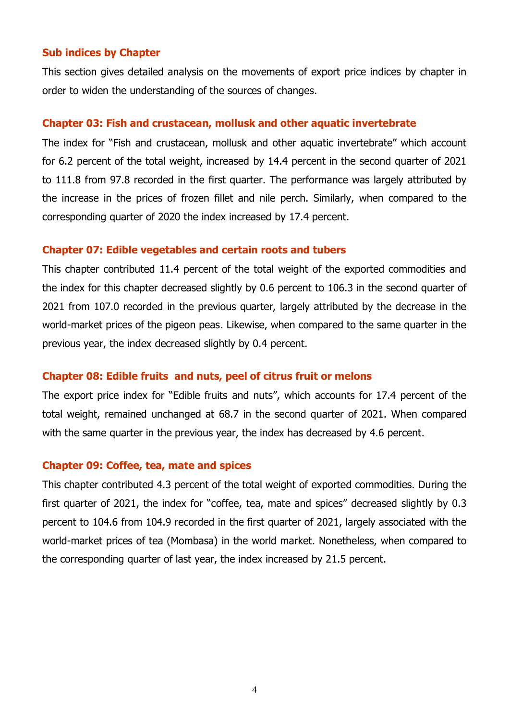### **Sub indices by Chapter**

This section gives detailed analysis on the movements of export price indices by chapter in order to widen the understanding of the sources of changes.

### **Chapter 03: Fish and crustacean, mollusk and other aquatic invertebrate**

The index for "Fish and crustacean, mollusk and other aquatic invertebrate" which account for 6.2 percent of the total weight, increased by 14.4 percent in the second quarter of 2021 to 111.8 from 97.8 recorded in the first quarter. The performance was largely attributed by the increase in the prices of frozen fillet and nile perch. Similarly, when compared to the corresponding quarter of 2020 the index increased by 17.4 percent.

### **Chapter 07: Edible vegetables and certain roots and tubers**

This chapter contributed 11.4 percent of the total weight of the exported commodities and the index for this chapter decreased slightly by 0.6 percent to 106.3 in the second quarter of 2021 from 107.0 recorded in the previous quarter, largely attributed by the decrease in the world-market prices of the pigeon peas. Likewise, when compared to the same quarter in the previous year, the index decreased slightly by 0.4 percent.

### **Chapter 08: Edible fruits and nuts, peel of citrus fruit or melons**

The export price index for "Edible fruits and nuts", which accounts for 17.4 percent of the total weight, remained unchanged at 68.7 in the second quarter of 2021. When compared with the same quarter in the previous year, the index has decreased by 4.6 percent.

### **Chapter 09: Coffee, tea, mate and spices**

This chapter contributed 4.3 percent of the total weight of exported commodities. During the first quarter of 2021, the index for "coffee, tea, mate and spices" decreased slightly by 0.3 percent to 104.6 from 104.9 recorded in the first quarter of 2021, largely associated with the world-market prices of tea (Mombasa) in the world market. Nonetheless, when compared to the corresponding quarter of last year, the index increased by 21.5 percent.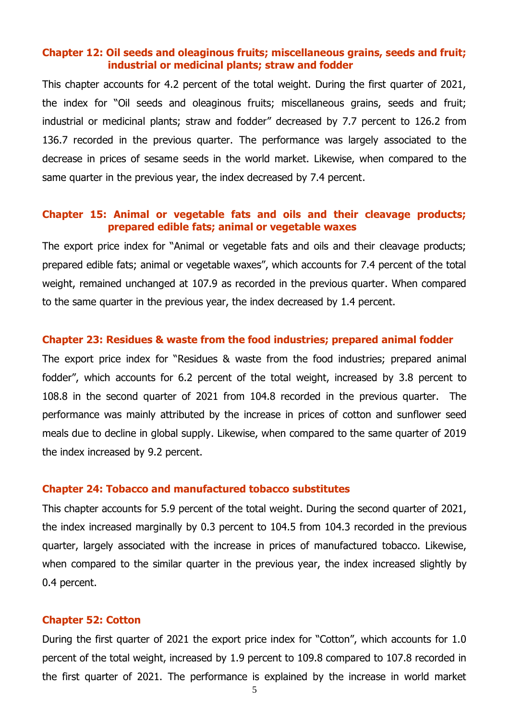# **Chapter 12: Oil seeds and oleaginous fruits; miscellaneous grains, seeds and fruit; industrial or medicinal plants; straw and fodder**

This chapter accounts for 4.2 percent of the total weight. During the first quarter of 2021, the index for "Oil seeds and oleaginous fruits; miscellaneous grains, seeds and fruit; industrial or medicinal plants; straw and fodder" decreased by 7.7 percent to 126.2 from 136.7 recorded in the previous quarter. The performance was largely associated to the decrease in prices of sesame seeds in the world market. Likewise, when compared to the same quarter in the previous year, the index decreased by 7.4 percent.

# **Chapter 15: Animal or vegetable fats and oils and their cleavage products; prepared edible fats; animal or vegetable waxes**

The export price index for "Animal or vegetable fats and oils and their cleavage products; prepared edible fats; animal or vegetable waxes", which accounts for 7.4 percent of the total weight, remained unchanged at 107.9 as recorded in the previous quarter. When compared to the same quarter in the previous year, the index decreased by 1.4 percent.

#### **Chapter 23: Residues & waste from the food industries; prepared animal fodder**

The export price index for "Residues & waste from the food industries; prepared animal fodder", which accounts for 6.2 percent of the total weight, increased by 3.8 percent to 108.8 in the second quarter of 2021 from 104.8 recorded in the previous quarter. The performance was mainly attributed by the increase in prices of cotton and sunflower seed meals due to decline in global supply. Likewise, when compared to the same quarter of 2019 the index increased by 9.2 percent.

# **Chapter 24: Tobacco and manufactured tobacco substitutes**

This chapter accounts for 5.9 percent of the total weight. During the second quarter of 2021, the index increased marginally by 0.3 percent to 104.5 from 104.3 recorded in the previous quarter, largely associated with the increase in prices of manufactured tobacco. Likewise, when compared to the similar quarter in the previous year, the index increased slightly by 0.4 percent.

#### **Chapter 52: Cotton**

During the first quarter of 2021 the export price index for "Cotton", which accounts for 1.0 percent of the total weight, increased by 1.9 percent to 109.8 compared to 107.8 recorded in the first quarter of 2021. The performance is explained by the increase in world market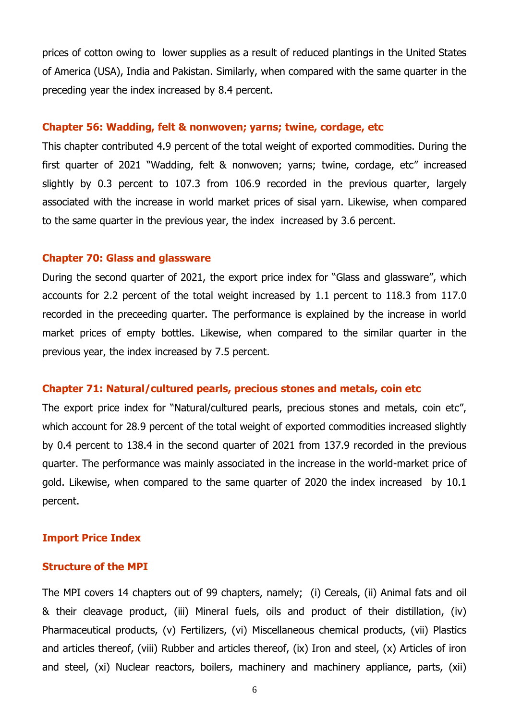prices of cotton owing to lower supplies as a result of reduced plantings in the United States of America (USA), India and Pakistan. Similarly, when compared with the same quarter in the preceding year the index increased by 8.4 percent.

### **Chapter 56: Wadding, felt & nonwoven; yarns; twine, cordage, etc**

This chapter contributed 4.9 percent of the total weight of exported commodities. During the first quarter of 2021 "Wadding, felt & nonwoven; yarns; twine, cordage, etc" increased slightly by 0.3 percent to 107.3 from 106.9 recorded in the previous quarter, largely associated with the increase in world market prices of sisal yarn. Likewise, when compared to the same quarter in the previous year, the index increased by 3.6 percent.

### **Chapter 70: Glass and glassware**

During the second quarter of 2021, the export price index for "Glass and glassware", which accounts for 2.2 percent of the total weight increased by 1.1 percent to 118.3 from 117.0 recorded in the preceeding quarter. The performance is explained by the increase in world market prices of empty bottles. Likewise, when compared to the similar quarter in the previous year, the index increased by 7.5 percent.

### **Chapter 71: Natural/cultured pearls, precious stones and metals, coin etc**

The export price index for "Natural/cultured pearls, precious stones and metals, coin etc", which account for 28.9 percent of the total weight of exported commodities increased slightly by 0.4 percent to 138.4 in the second quarter of 2021 from 137.9 recorded in the previous quarter. The performance was mainly associated in the increase in the world-market price of gold. Likewise, when compared to the same quarter of 2020 the index increased by 10.1 percent.

### **Import Price Index**

#### **Structure of the MPI**

The MPI covers 14 chapters out of 99 chapters, namely; (i) Cereals, (ii) Animal fats and oil & their cleavage product, (iii) Mineral fuels, oils and product of their distillation, (iv) Pharmaceutical products, (v) Fertilizers, (vi) Miscellaneous chemical products, (vii) Plastics and articles thereof, (viii) Rubber and articles thereof, (ix) Iron and steel, (x) Articles of iron and steel, (xi) Nuclear reactors, boilers, machinery and machinery appliance, parts, (xii)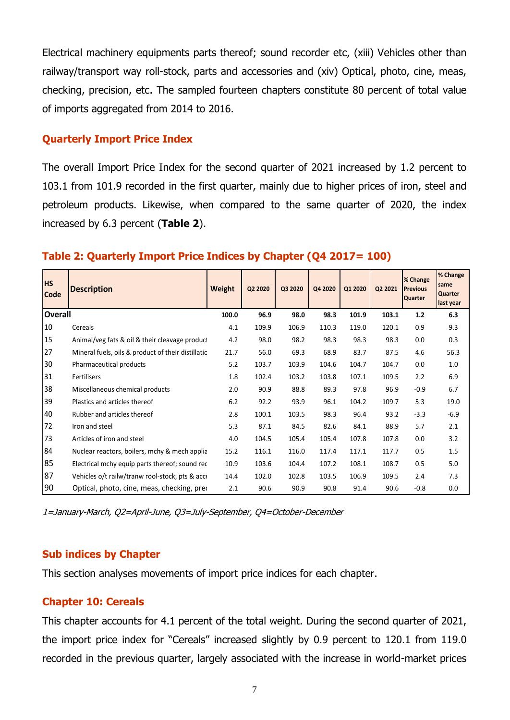Electrical machinery equipments parts thereof; sound recorder etc, (xiii) Vehicles other than railway/transport way roll-stock, parts and accessories and (xiv) Optical, photo, cine, meas, checking, precision, etc. The sampled fourteen chapters constitute 80 percent of total value of imports aggregated from 2014 to 2016.

# **Quarterly Import Price Index**

The overall Import Price Index for the second quarter of 2021 increased by 1.2 percent to 103.1 from 101.9 recorded in the first quarter, mainly due to higher prices of iron, steel and petroleum products. Likewise, when compared to the same quarter of 2020, the index increased by 6.3 percent (**Table 2**).

| <b>HS</b><br><b>Code</b> | <b>Description</b>                                  | Weight | Q2 2020 | Q3 2020 | Q4 2020 | Q1 2020 | Q2 2021 | % Change<br><b>Previous</b><br><b>Quarter</b> | % Change<br>same<br><b>Quarter</b><br>last year |
|--------------------------|-----------------------------------------------------|--------|---------|---------|---------|---------|---------|-----------------------------------------------|-------------------------------------------------|
| <b>Overall</b>           |                                                     | 100.0  | 96.9    | 98.0    | 98.3    | 101.9   | 103.1   | $1.2$                                         | 6.3                                             |
| 10                       | Cereals                                             | 4.1    | 109.9   | 106.9   | 110.3   | 119.0   | 120.1   | 0.9                                           | 9.3                                             |
| 15                       | Animal/veg fats & oil & their cleavage product      | 4.2    | 98.0    | 98.2    | 98.3    | 98.3    | 98.3    | 0.0                                           | 0.3                                             |
| 27                       | Mineral fuels, oils & product of their distillation | 21.7   | 56.0    | 69.3    | 68.9    | 83.7    | 87.5    | 4.6                                           | 56.3                                            |
| 30                       | Pharmaceutical products                             | 5.2    | 103.7   | 103.9   | 104.6   | 104.7   | 104.7   | 0.0                                           | 1.0                                             |
| 31                       | Fertilisers                                         | 1.8    | 102.4   | 103.2   | 103.8   | 107.1   | 109.5   | 2.2                                           | 6.9                                             |
| 38                       | Miscellaneous chemical products                     | 2.0    | 90.9    | 88.8    | 89.3    | 97.8    | 96.9    | $-0.9$                                        | 6.7                                             |
| 39                       | Plastics and articles thereof                       | 6.2    | 92.2    | 93.9    | 96.1    | 104.2   | 109.7   | 5.3                                           | 19.0                                            |
| 40                       | Rubber and articles thereof                         | 2.8    | 100.1   | 103.5   | 98.3    | 96.4    | 93.2    | $-3.3$                                        | $-6.9$                                          |
| 72                       | Iron and steel                                      | 5.3    | 87.1    | 84.5    | 82.6    | 84.1    | 88.9    | 5.7                                           | 2.1                                             |
| 73                       | Articles of iron and steel                          | 4.0    | 104.5   | 105.4   | 105.4   | 107.8   | 107.8   | 0.0                                           | 3.2                                             |
| 84                       | Nuclear reactors, boilers, mchy & mech applia       | 15.2   | 116.1   | 116.0   | 117.4   | 117.1   | 117.7   | 0.5                                           | 1.5                                             |
| 85                       | Electrical mchy equip parts thereof; sound rec      | 10.9   | 103.6   | 104.4   | 107.2   | 108.1   | 108.7   | 0.5                                           | 5.0                                             |
| 87                       | Vehicles o/t railw/tranw rool-stock, pts & acce     | 14.4   | 102.0   | 102.8   | 103.5   | 106.9   | 109.5   | 2.4                                           | 7.3                                             |
| 90                       | Optical, photo, cine, meas, checking, pred          | 2.1    | 90.6    | 90.9    | 90.8    | 91.4    | 90.6    | $-0.8$                                        | 0.0                                             |

# **Table 2: Quarterly Import Price Indices by Chapter (Q4 2017= 100)**

1=January-March, Q2=April-June, Q3=July-September, Q4=October-December

### **Sub indices by Chapter**

This section analyses movements of import price indices for each chapter.

# **Chapter 10: Cereals**

This chapter accounts for 4.1 percent of the total weight. During the second quarter of 2021, the import price index for "Cereals" increased slightly by 0.9 percent to 120.1 from 119.0 recorded in the previous quarter, largely associated with the increase in world-market prices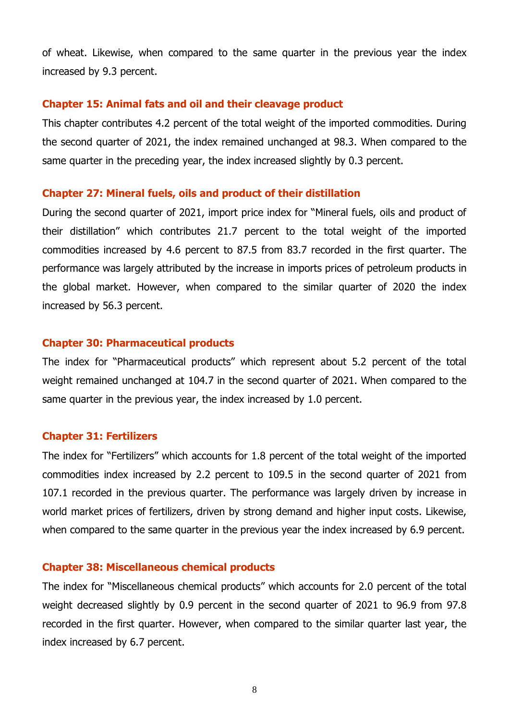of wheat. Likewise, when compared to the same quarter in the previous year the index increased by 9.3 percent.

### **Chapter 15: Animal fats and oil and their cleavage product**

This chapter contributes 4.2 percent of the total weight of the imported commodities. During the second quarter of 2021, the index remained unchanged at 98.3. When compared to the same quarter in the preceding year, the index increased slightly by 0.3 percent.

### **Chapter 27: Mineral fuels, oils and product of their distillation**

During the second quarter of 2021, import price index for "Mineral fuels, oils and product of their distillation" which contributes 21.7 percent to the total weight of the imported commodities increased by 4.6 percent to 87.5 from 83.7 recorded in the first quarter. The performance was largely attributed by the increase in imports prices of petroleum products in the global market. However, when compared to the similar quarter of 2020 the index increased by 56.3 percent.

### **Chapter 30: Pharmaceutical products**

The index for "Pharmaceutical products" which represent about 5.2 percent of the total weight remained unchanged at 104.7 in the second quarter of 2021. When compared to the same quarter in the previous year, the index increased by 1.0 percent.

### **Chapter 31: Fertilizers**

The index for "Fertilizers" which accounts for 1.8 percent of the total weight of the imported commodities index increased by 2.2 percent to 109.5 in the second quarter of 2021 from 107.1 recorded in the previous quarter. The performance was largely driven by increase in world market prices of fertilizers, driven by strong demand and higher input costs. Likewise, when compared to the same quarter in the previous year the index increased by 6.9 percent.

### **Chapter 38: Miscellaneous chemical products**

The index for "Miscellaneous chemical products" which accounts for 2.0 percent of the total weight decreased slightly by 0.9 percent in the second quarter of 2021 to 96.9 from 97.8 recorded in the first quarter. However, when compared to the similar quarter last year, the index increased by 6.7 percent.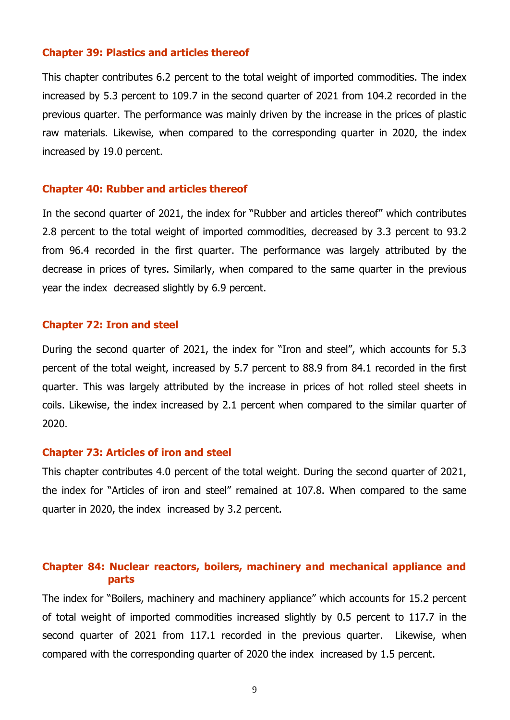### **Chapter 39: Plastics and articles thereof**

This chapter contributes 6.2 percent to the total weight of imported commodities. The index increased by 5.3 percent to 109.7 in the second quarter of 2021 from 104.2 recorded in the previous quarter. The performance was mainly driven by the increase in the prices of plastic raw materials. Likewise, when compared to the corresponding quarter in 2020, the index increased by 19.0 percent.

#### **Chapter 40: Rubber and articles thereof**

In the second quarter of 2021, the index for "Rubber and articles thereof" which contributes 2.8 percent to the total weight of imported commodities, decreased by 3.3 percent to 93.2 from 96.4 recorded in the first quarter. The performance was largely attributed by the decrease in prices of tyres. Similarly, when compared to the same quarter in the previous year the index decreased slightly by 6.9 percent.

### **Chapter 72: Iron and steel**

During the second quarter of 2021, the index for "Iron and steel", which accounts for 5.3 percent of the total weight, increased by 5.7 percent to 88.9 from 84.1 recorded in the first quarter. This was largely attributed by the increase in prices of hot rolled steel sheets in coils. Likewise, the index increased by 2.1 percent when compared to the similar quarter of 2020.

### **Chapter 73: Articles of iron and steel**

This chapter contributes 4.0 percent of the total weight. During the second quarter of 2021, the index for "Articles of iron and steel" remained at 107.8. When compared to the same quarter in 2020, the index increased by 3.2 percent.

# **Chapter 84: Nuclear reactors, boilers, machinery and mechanical appliance and parts**

The index for "Boilers, machinery and machinery appliance" which accounts for 15.2 percent of total weight of imported commodities increased slightly by 0.5 percent to 117.7 in the second quarter of 2021 from 117.1 recorded in the previous quarter. Likewise, when compared with the corresponding quarter of 2020 the index increased by 1.5 percent.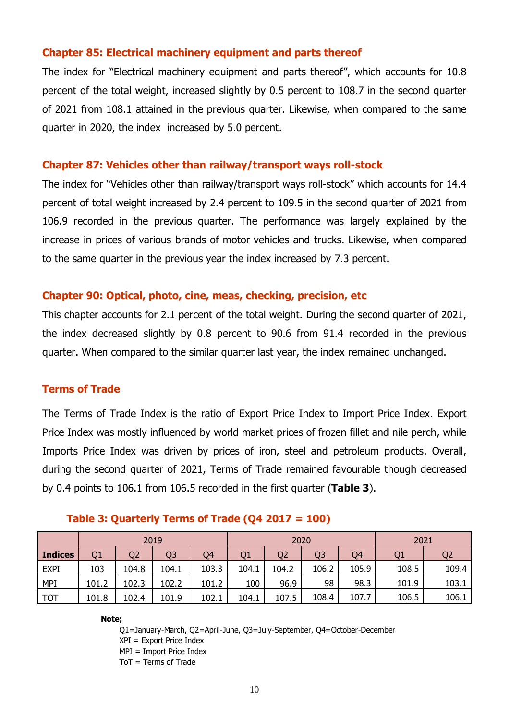# **Chapter 85: Electrical machinery equipment and parts thereof**

The index for "Electrical machinery equipment and parts thereof", which accounts for 10.8 percent of the total weight, increased slightly by 0.5 percent to 108.7 in the second quarter of 2021 from 108.1 attained in the previous quarter. Likewise, when compared to the same quarter in 2020, the index increased by 5.0 percent.

### **Chapter 87: Vehicles other than railway/transport ways roll-stock**

The index for "Vehicles other than railway/transport ways roll-stock" which accounts for 14.4 percent of total weight increased by 2.4 percent to 109.5 in the second quarter of 2021 from 106.9 recorded in the previous quarter. The performance was largely explained by the increase in prices of various brands of motor vehicles and trucks. Likewise, when compared to the same quarter in the previous year the index increased by 7.3 percent.

# **Chapter 90: Optical, photo, cine, meas, checking, precision, etc**

This chapter accounts for 2.1 percent of the total weight. During the second quarter of 2021, the index decreased slightly by 0.8 percent to 90.6 from 91.4 recorded in the previous quarter. When compared to the similar quarter last year, the index remained unchanged.

# **Terms of Trade**

The Terms of Trade Index is the ratio of Export Price Index to Import Price Index. Export Price Index was mostly influenced by world market prices of frozen fillet and nile perch, while Imports Price Index was driven by prices of iron, steel and petroleum products. Overall, during the second quarter of 2021, Terms of Trade remained favourable though decreased by 0.4 points to 106.1 from 106.5 recorded in the first quarter (**Table 3**).

|                | 2019  |                |       |       |       | 2020  | 2021           |       |                |                |  |  |
|----------------|-------|----------------|-------|-------|-------|-------|----------------|-------|----------------|----------------|--|--|
| <b>Indices</b> | Q1    | Q <sub>2</sub> | Q3    | Q4    | Q1    | Q2    | Q <sub>3</sub> | Q4    | Q <sub>1</sub> | Q <sub>2</sub> |  |  |
| <b>EXPI</b>    | 103   | 104.8          | 104.1 | 103.3 | 104.1 | 104.2 | 106.2          | 105.9 | 108.5          | 109.4          |  |  |
| <b>MPI</b>     | 101.2 | 102.3          | 102.2 | 101.2 | 100   | 96.9  | 98             | 98.3  | 101.9          | 103.1          |  |  |
| <b>TOT</b>     | 101.8 | 102.4          | 101.9 | 102.1 | 104.1 | 107.5 | 108.4          | 107.7 | 106.5          | 106.1          |  |  |

### **Table 3: Quarterly Terms of Trade (Q4 2017 = 100)**

#### **Note;**

Q1=January-March, Q2=April-June, Q3=July-September, Q4=October-December XPI = Export Price Index MPI = Import Price Index ToT = Terms of Trade